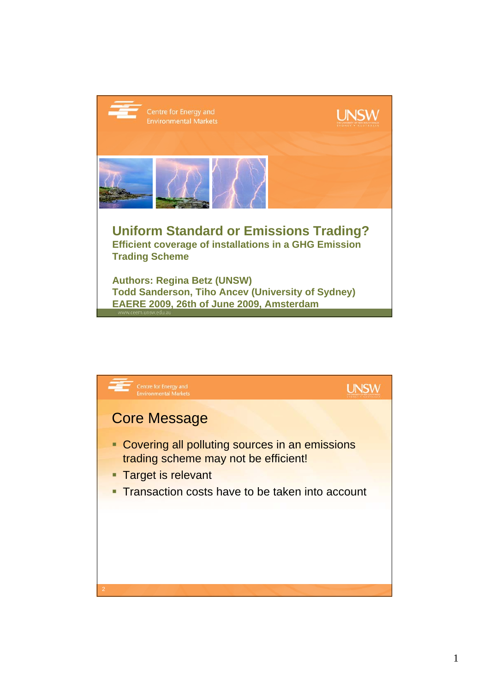

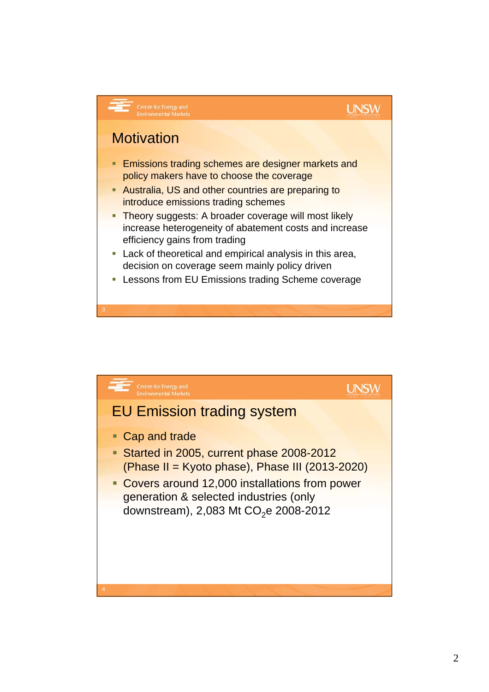## **UNSW**

## **Motivation**

Centre for Energy and<br>Environmental Market

- **Emissions trading schemes are designer markets and** policy makers have to choose the coverage
- **Australia, US and other countries are preparing to** introduce emissions trading schemes
- **Theory suggests: A broader coverage will most likely** increase heterogeneity of abatement costs and increase efficiency gains from trading
- **Lack of theoretical and empirical analysis in this area,** decision on coverage seem mainly policy driven
- **EXECTS:** Lessons from EU Emissions trading Scheme coverage

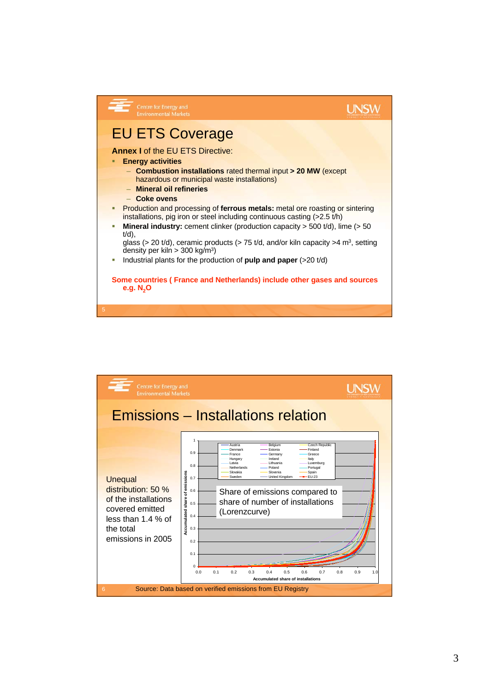

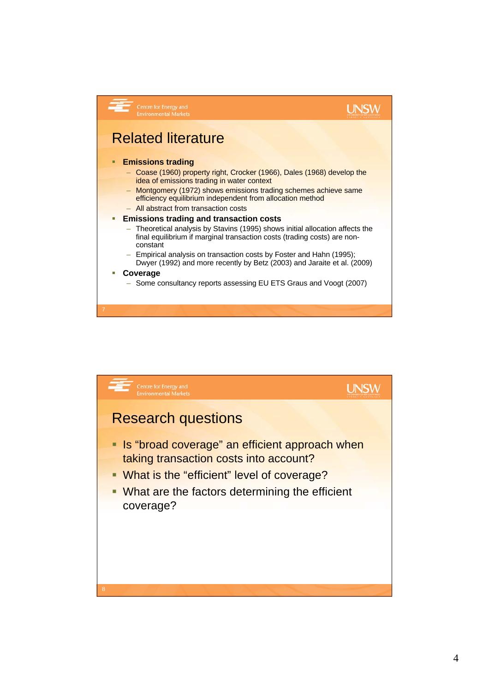

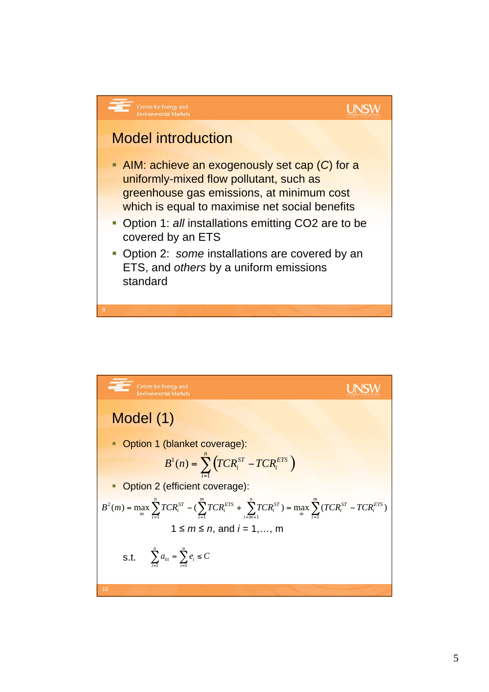

Model (1) Option 1 (blanket coverage): Option 2 (efficient coverage): 1 *m n*, and *i* = 1,…, m s.t. ( ) <sup>1</sup> 1 ( ) *<sup>n</sup> ST ETS i i i B n TCR TCR* = <sup>=</sup> -0 1 1 *n n i i i i a eC* = = - -= ( ) max ( ) max ( ) 1 1 1 1 2 *ETS i m i ST <sup>i</sup> <sup>m</sup> n i m ST i m i ETS i n i ST <sup>i</sup> <sup>m</sup> <sup>B</sup> <sup>m</sup>* <sup>=</sup> *TCR* - *TCR* <sup>+</sup> *TCR* <sup>=</sup> *TCR* - *TCR* = = = + =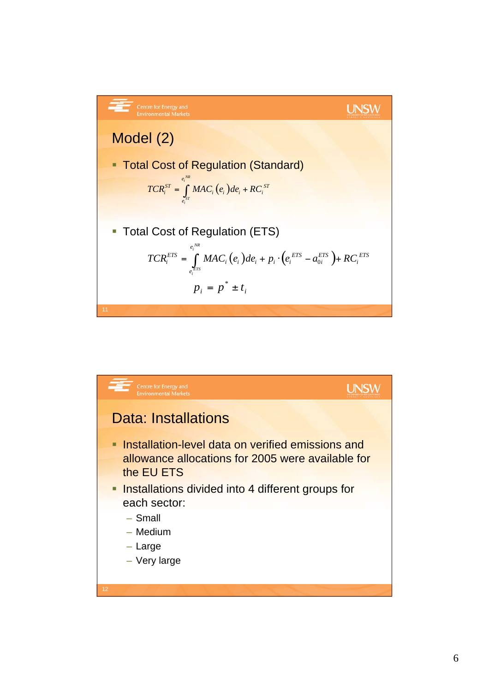| Centre for Energy and Environmental Markets                                                                   | UNSW                                |
|---------------------------------------------------------------------------------------------------------------|-------------------------------------|
| Model (2)                                                                                                     | Total Cost of Regulation (Standard) |
| $TCR_i^{ST} = \int_{e_i^{ST}}^{e_i^{NK}} MAC_i(e_i)de_i + RC_i^{ST}$                                          |                                     |
| Total Cost of Regulation (ETS)                                                                                |                                     |
| $TCR_i^{ETS} = \int_{e_i^{ST}}^{e_i^{NK}} MAC_i(e_i)de_i + p_i \cdot (e_i^{ETS} - a_{0i}^{ETS}) + RC_i^{ETS}$ |                                     |
| $p_i = p^* \pm t_i$                                                                                           |                                     |

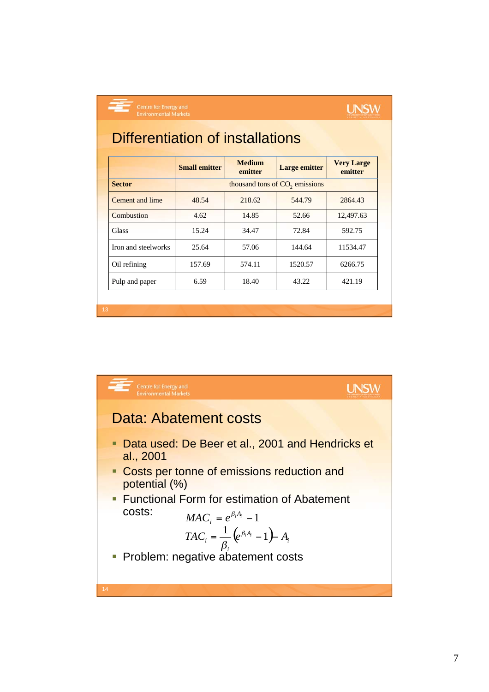Centre for Energy and<br>Environmental Market

## **UNSW**

# Differentiation of installations

|                        | <b>Small emitter</b> | <b>Medium</b><br>emitter                   | <b>Large emitter</b> | <b>Very Large</b><br>emitter |
|------------------------|----------------------|--------------------------------------------|----------------------|------------------------------|
| <b>Sector</b>          |                      | thousand tons of CO <sub>2</sub> emissions |                      |                              |
| Cement and lime        | 48.54                | 218.62                                     | 544.79               | 2864.43                      |
| Combustion             | 4.62                 | 14.85                                      | 52.66                | 12,497.63                    |
| <b>Glass</b>           | 15.24                | 34.47                                      | 72.84                | 592.75                       |
| Iron and steelworks    | 25.64                | 57.06                                      | 144.64               | 11534.47                     |
| Oil refining           | 157.69               | 574.11                                     | 1520.57              | 6266.75                      |
| 6.59<br>Pulp and paper |                      | 18.40                                      | 43.22                | 421.19                       |
|                        |                      |                                            |                      |                              |

### Centre for Energy and<br>Environmental Markets **UNSW** Data: Abatement costs Data used: De Beer et al., 2001 and Hendricks et al., 2001 Costs per tonne of emissions reduction and potential (%) **Functional Form for estimation of Abatement** costs:  $MAC_i = e^{\beta_i A_i} - 1$  $TAC_i = \frac{1}{\rho} (e^{\beta_i A_i} - 1) - A_i$  $\left( e^{\beta_i A_i} - 1 \right)$  *A*<sub>i</sub>  $\frac{\partial}{\partial \beta_i}$  (e' *i* **Problem: negative abatement costs**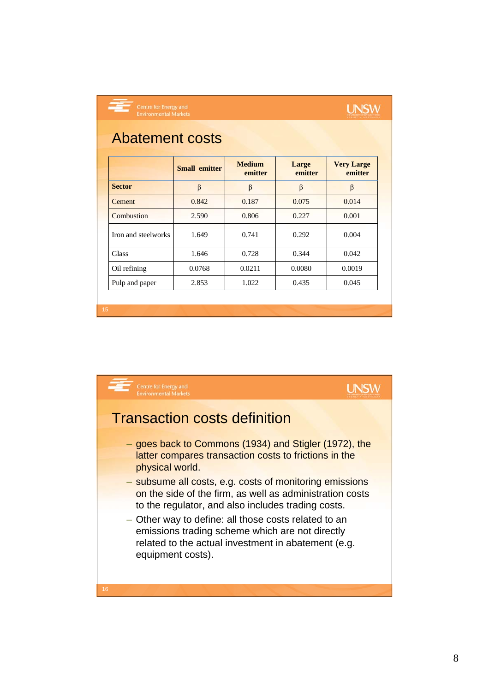| <b>Abatement costs</b>                                                             |                      |                          |                  |                              |  |  |  |
|------------------------------------------------------------------------------------|----------------------|--------------------------|------------------|------------------------------|--|--|--|
|                                                                                    | <b>Small emitter</b> | <b>Medium</b><br>emitter | Large<br>emitter | <b>Very Large</b><br>emitter |  |  |  |
| <b>Sector</b>                                                                      | $\beta$              | β                        | β                | $\beta$                      |  |  |  |
| <b>Cement</b><br>Combustion<br>Iron and steelworks<br><b>Glass</b><br>Oil refining | 0.842                | 0.187                    | 0.075            | 0.014                        |  |  |  |
|                                                                                    | 2.590                | 0.806                    | 0.227            | 0.001                        |  |  |  |
|                                                                                    | 1.649                | 0.741                    | 0.292            | 0.004                        |  |  |  |
|                                                                                    | 1.646                | 0.728                    | 0.344            | 0.042                        |  |  |  |
|                                                                                    | 0.0768               | 0.0211                   | 0.0080           | 0.0019                       |  |  |  |
| Pulp and paper                                                                     | 2.853                | 1.022                    | 0.435            | 0.045                        |  |  |  |

**UNSW** 

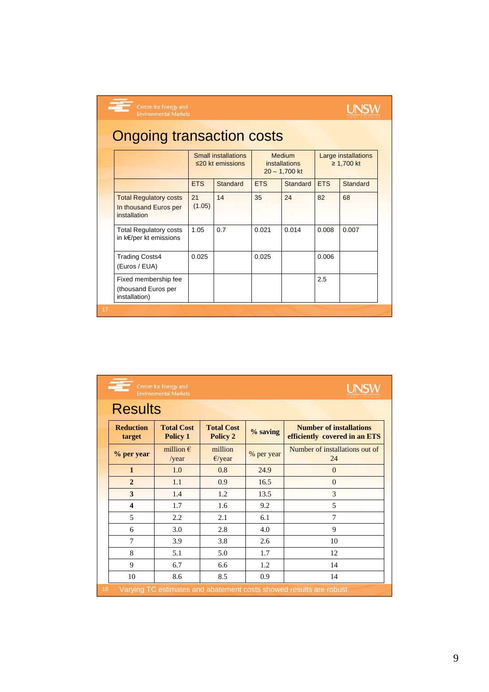.<br>Centre for Energy and<br>Environmental Markets

# **UNSW**

# Ongoing transaction costs

|                                                                        | <b>Small installations</b><br>$\leq$ 20 kt emissions |          | <b>Medium</b><br><i>installations</i><br>$20 - 1,700$ kt |          | Large installations<br>$≥ 1,700$ kt |          |
|------------------------------------------------------------------------|------------------------------------------------------|----------|----------------------------------------------------------|----------|-------------------------------------|----------|
|                                                                        | <b>ETS</b>                                           | Standard | <b>ETS</b>                                               | Standard | <b>ETS</b>                          | Standard |
| <b>Total Regulatory costs</b><br>In thousand Euros per<br>installation | 21<br>(1.05)                                         | 14       | 35                                                       | 24       | 82                                  | 68       |
| <b>Total Regulatory costs</b><br>in k€/per kt emissions                | 1.05                                                 | 0.7      | 0.021                                                    | 0.014    | 0.008                               | 0.007    |
| <b>Trading Costs4</b><br>(Euros / EUA)                                 | 0.025                                                |          | 0.025                                                    |          | 0.006                               |          |
| Fixed membership fee<br>(thousand Euros per<br>installation)           |                                                      |          |                                                          |          | 2.5                                 |          |
|                                                                        |                                                      |          |                                                          |          |                                     |          |

| Centre for Energy and<br><b>UNSW</b><br><b>Environmental Markets</b>     |                                      |                                      |            |                                                                 |  |  |  |
|--------------------------------------------------------------------------|--------------------------------------|--------------------------------------|------------|-----------------------------------------------------------------|--|--|--|
| <b>Results</b>                                                           |                                      |                                      |            |                                                                 |  |  |  |
| <b>Reduction</b><br>target                                               | <b>Total Cost</b><br><b>Policy 1</b> | <b>Total Cost</b><br><b>Policy 2</b> | $%$ saving | <b>Number of installations</b><br>efficiently covered in an ETS |  |  |  |
| % per year                                                               | million $\epsilon$<br>/year          | million<br>$E$ /year                 | % per year | Number of installations out of<br>24                            |  |  |  |
| $\mathbf{1}$                                                             | 1.0                                  | 0.8                                  | 24.9       | $\theta$                                                        |  |  |  |
| $\overline{2}$                                                           | 1.1                                  | 0.9                                  | 16.5       | $\theta$                                                        |  |  |  |
| 3                                                                        | 1.4                                  | 1.2                                  | 13.5       | 3                                                               |  |  |  |
| $\overline{\mathbf{4}}$                                                  | 1.7                                  | 1.6                                  | 9.2        | 5                                                               |  |  |  |
| 5                                                                        | 2.2                                  | 2.1                                  | 6.1        | 7                                                               |  |  |  |
| 6                                                                        | 3.0                                  | 2.8                                  | 4.0        | $\mathbf Q$                                                     |  |  |  |
| 7                                                                        | 3.9                                  | 3.8                                  | 2.6        | 10                                                              |  |  |  |
| 8                                                                        | 5.1                                  | 5.0                                  | 1.7        | 12                                                              |  |  |  |
| 9                                                                        | 6.7                                  | 6.6                                  | 1.2        | 14                                                              |  |  |  |
| 10                                                                       | 8.6                                  | 8.5                                  | 0.9        | 14                                                              |  |  |  |
| 18<br>Varying TC estimates and abatement costs showed results are robust |                                      |                                      |            |                                                                 |  |  |  |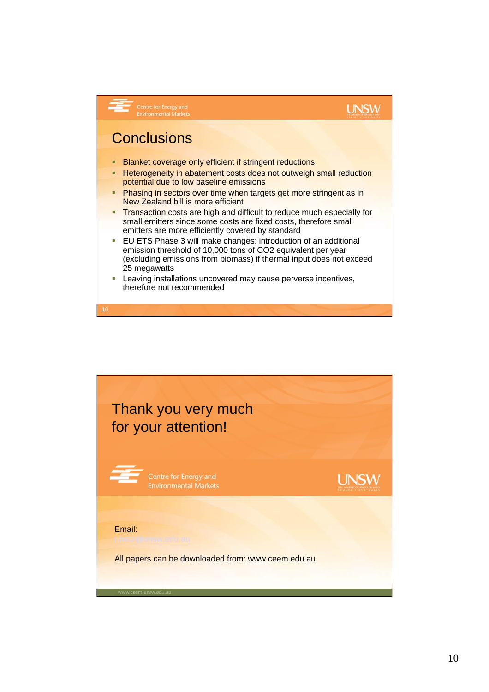## **UNSW**

# **Conclusions**

**Centre for Energy and<br>Environmental Markets** 

19

- **Blanket coverage only efficient if stringent reductions**
- **-** Heterogeneity in abatement costs does not outweigh small reduction potential due to low baseline emissions
- **Phasing in sectors over time when targets get more stringent as in** New Zealand bill is more efficient
- **Transaction costs are high and difficult to reduce much especially for** small emitters since some costs are fixed costs, therefore small emitters are more efficiently covered by standard
- EU ETS Phase 3 will make changes: introduction of an additional emission threshold of 10,000 tons of CO2 equivalent per year (excluding emissions from biomass) if thermal input does not exceed 25 megawatts
- **Leaving installations uncovered may cause perverse incentives,** therefore not recommended